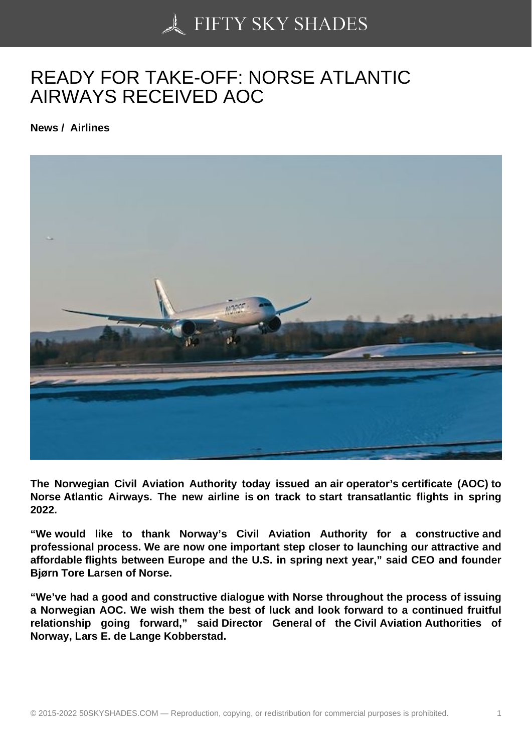## [READY FOR TAKE-OF](https://50skyshades.com)F: NORSE ATLANTIC AIRWAYS RECEIVED AOC

News / Airlines

The Norwegian Civil Aviation Authority today issued an air operator's certificate (AOC) to Norse Atlantic Airways. The new airline is on track to start transatlantic flights in spring 2022.

"We would like to thank Norway's Civil Aviation Authority for a constructive and professional process. We are now one important step closer to launching our attractive and affordable flights between Europe and the U.S. in spring next year," said CEO and founder Bjørn Tore Larsen of Norse.

"We've had a good and constructive dialogue with Norse throughout the process of issuing a Norwegian AOC. We wish them the best of luck and look forward to a continued fruitful relationship going forward," said Director General of the Civil Aviation Authorities of Norway, Lars E. de Lange Kobberstad.